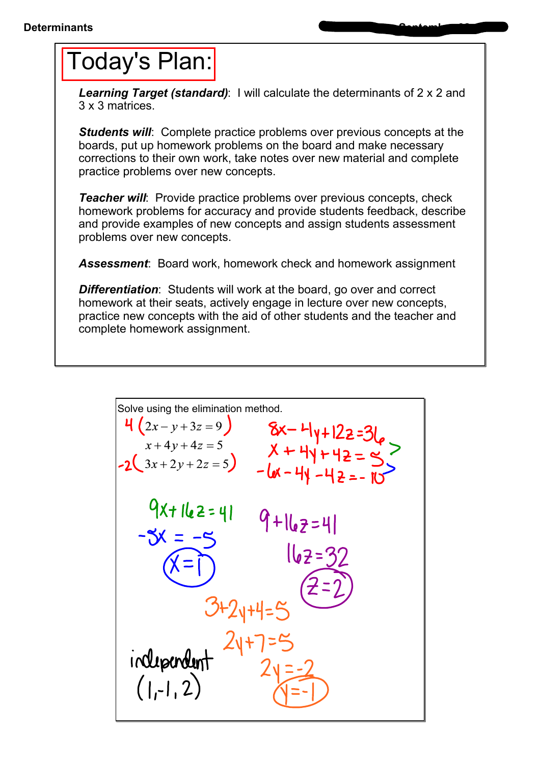## Today's Plan:

*Learning Target (standard)*: I will calculate the determinants of 2 x 2 and 3 x 3 matrices.

*Students will*: Complete practice problems over previous concepts at the boards, put up homework problems on the board and make necessary corrections to their own work, take notes over new material and complete practice problems over new concepts.

*Teacher will:* Provide practice problems over previous concepts, check homework problems for accuracy and provide students feedback, describe and provide examples of new concepts and assign students assessment problems over new concepts.

*Assessment*: Board work, homework check and homework assignment

**Differentiation:** Students will work at the board, go over and correct homework at their seats, actively engage in lecture over new concepts, practice new concepts with the aid of other students and the teacher and complete homework assignment.

Solve using the elimination method.  
\n
$$
4(2x-y+3z=9)
$$
  $8x-4y+12z=31$   
\n $x+4y+4z=5$   $x+4y+4z=5$   
\n $-2(3x+2y+2z=5)$   $-6x-4y-4z=5$   
\n $-6x-4y-4z=-10$   
\n $-3x = -5$   $16z=7$   
\n $-3x = -5$   $16z=32$   
\n $(x=1)$   $16z=32$   
\n $3+2y+4=5$   $(2-2)$   
\n $2y=2$   $(1,-1, 2)$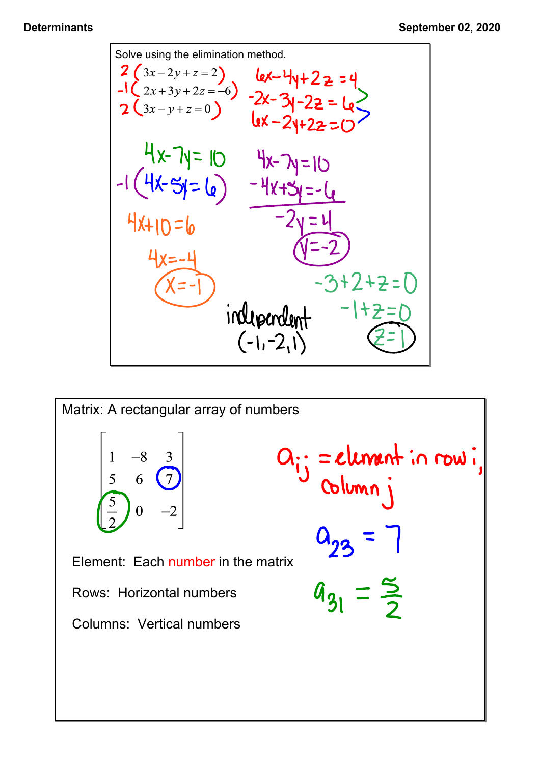

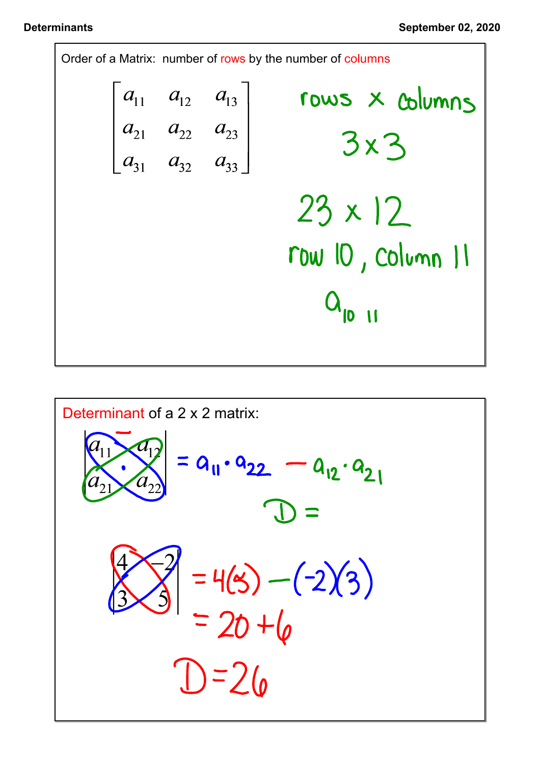

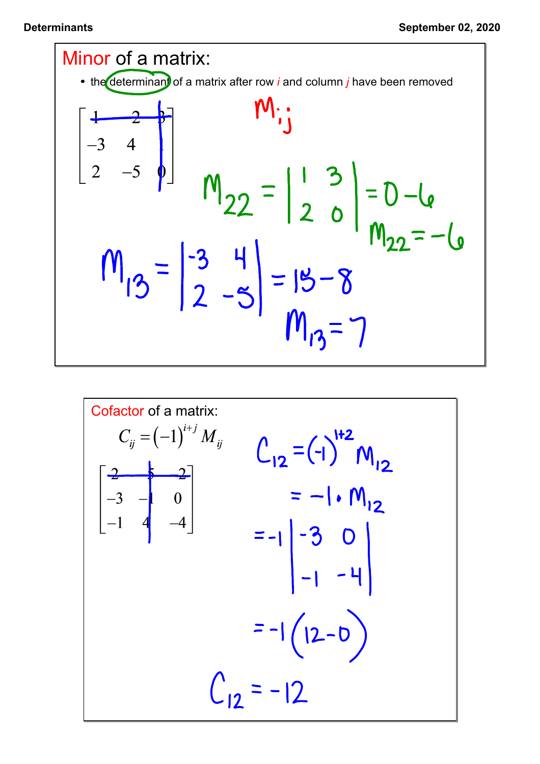

$$
C_{ij} = (-1)^{i+j} M_{ij}
$$
  
\n
$$
C_{ij} = (-1)^{i+j} M_{ij}
$$
  
\n
$$
\begin{bmatrix} \frac{2}{-3} & -1 & 0 \\ -1 & 4 & -4 \end{bmatrix}
$$
  
\n
$$
= -1 \begin{bmatrix} -3 & 0 \\ -1 & -4 \end{bmatrix}
$$
  
\n
$$
= -1 \begin{bmatrix} -3 & 0 \\ 12 & -1 \end{bmatrix}
$$
  
\n
$$
= -1 \begin{bmatrix} 12 & -10 \\ 12 & -12 \end{bmatrix}
$$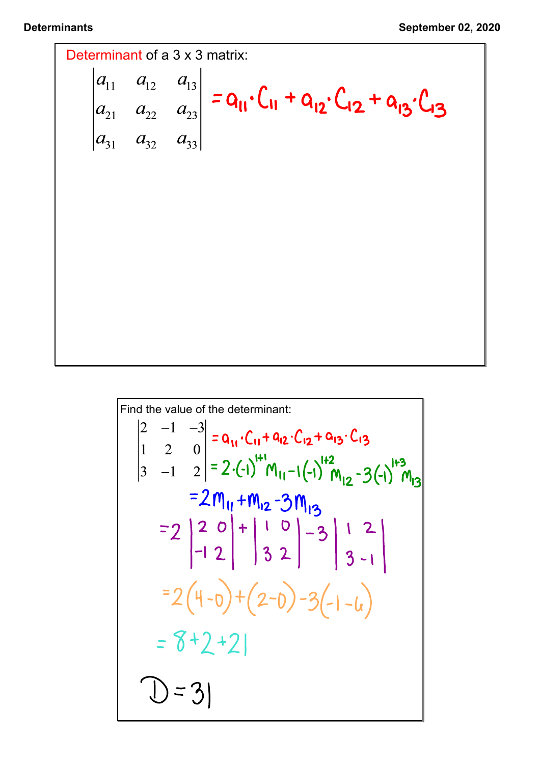

Find the value of the determinant: